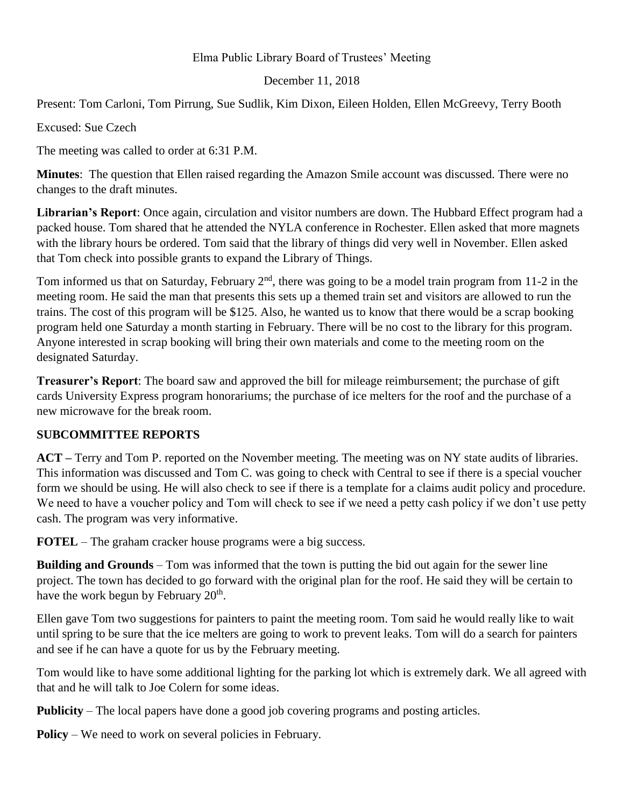## Elma Public Library Board of Trustees' Meeting

## December 11, 2018

Present: Tom Carloni, Tom Pirrung, Sue Sudlik, Kim Dixon, Eileen Holden, Ellen McGreevy, Terry Booth

Excused: Sue Czech

The meeting was called to order at 6:31 P.M.

**Minutes**: The question that Ellen raised regarding the Amazon Smile account was discussed. There were no changes to the draft minutes.

**Librarian's Report**: Once again, circulation and visitor numbers are down. The Hubbard Effect program had a packed house. Tom shared that he attended the NYLA conference in Rochester. Ellen asked that more magnets with the library hours be ordered. Tom said that the library of things did very well in November. Ellen asked that Tom check into possible grants to expand the Library of Things.

Tom informed us that on Saturday, February  $2<sup>nd</sup>$ , there was going to be a model train program from 11-2 in the meeting room. He said the man that presents this sets up a themed train set and visitors are allowed to run the trains. The cost of this program will be \$125. Also, he wanted us to know that there would be a scrap booking program held one Saturday a month starting in February. There will be no cost to the library for this program. Anyone interested in scrap booking will bring their own materials and come to the meeting room on the designated Saturday.

**Treasurer's Report**: The board saw and approved the bill for mileage reimbursement; the purchase of gift cards University Express program honorariums; the purchase of ice melters for the roof and the purchase of a new microwave for the break room.

# **SUBCOMMITTEE REPORTS**

**ACT –** Terry and Tom P. reported on the November meeting. The meeting was on NY state audits of libraries. This information was discussed and Tom C. was going to check with Central to see if there is a special voucher form we should be using. He will also check to see if there is a template for a claims audit policy and procedure. We need to have a voucher policy and Tom will check to see if we need a petty cash policy if we don't use petty cash. The program was very informative.

**FOTEL** – The graham cracker house programs were a big success.

**Building and Grounds** – Tom was informed that the town is putting the bid out again for the sewer line project. The town has decided to go forward with the original plan for the roof. He said they will be certain to have the work begun by February  $20<sup>th</sup>$ .

Ellen gave Tom two suggestions for painters to paint the meeting room. Tom said he would really like to wait until spring to be sure that the ice melters are going to work to prevent leaks. Tom will do a search for painters and see if he can have a quote for us by the February meeting.

Tom would like to have some additional lighting for the parking lot which is extremely dark. We all agreed with that and he will talk to Joe Colern for some ideas.

**Publicity** – The local papers have done a good job covering programs and posting articles.

**Policy** – We need to work on several policies in February.